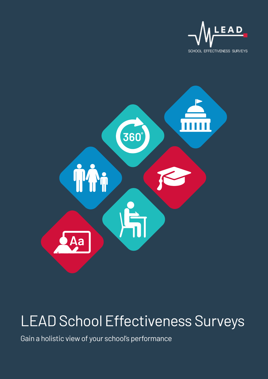



# LEAD School Effectiveness Surveys

Gain a holistic view of your school's performance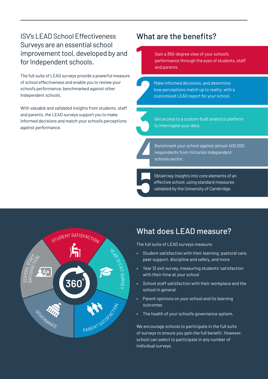### ISV's LEAD School Effectiveness Surveys are an essential school improvement tool, developed by and for Independent schools.

The full suite of LEAD surveys provide a powerful measure of school effectiveness and enable you to review your school's performance, benchmarked against other Independent schools.

With valuable and validated insights from students, staff and parents, the LEAD surveys support you to make informed decisions and match your school's perceptions against performance.

### What are the benefits?

Gain a 360-degree view of your school's performance through the eyes of students, staff and parents.



Make informed decisions, and determine how perceptions match up to reality, with a customised LEAD report for your school.



Get access to a custom-built analytics platform to interrogate your data.

Benchmark your school against almost 400,000 respondents from Victoria's Independent schools sector.

Obtain key insights into core elements of an effective school, using standard measures validated by the University of Cambridge.



# What does LEAD measure?

The full suite of LEAD surveys measure:

- Student satisfaction with their learning, pastoral care, peer support, discipline and safety, and more
- Year 12 exit survey, measuring students' satisfaction with their time at your school
- School staff satisfaction with their workplace and the school in general
- Parent opinions on your school and its learning outcomes
- The health of your school's governance system.

We encourage schools to participate in the full suite of surveys to ensure you gain the full benefit. However, school can select to participate in any number of individual surveys.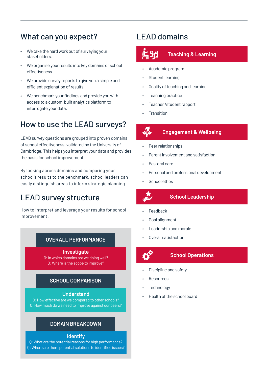## What can you expect?

- We take the hard work out of surveying your stakeholders.
- We organise your results into key domains of school effectiveness.
- We provide survey reports to give you a simple and efficient explanation of results.
- We benchmark your findings and provide you with access to a custom-built analytics platform to interrogate your data.

## How to use the LEAD surveys?

LEAD survey questions are grouped into proven domains of school effectiveness, validated by the University of Cambridge. This helps you interpret your data and provides the basis for school improvement.

By looking across domains and comparing your school's results to the benchmark, school leaders can easily distinguish areas to inform strategic planning.

### LEAD survey structure

How to interpret and leverage your results for school improvement:

### **OVERALL PERFORMANCE**

**Investigate** Q: In which domains are we doing well?

Q: Where is the scope to improve?

### **SCHOOL COMPARISON**

#### **Understand**

Q: How effective are we compared to other schools? Q: How much do we need to improve against our peers?

#### **DOMAIN BREAKDOWN**

#### **Identify**

Q: What are the potential reasons for high performance? Q: Where are there potential solutions to identified issues?

### LEAD domains



- Academic program
- Student learning
- Quality of teaching and learning
- Teaching practice
- Teacher / student rapport
- **Transition**

**de** 

### **Engagement & Wellbeing**

- Peer relationships
- Parent Involvement and satisfaction
- Pastoral care
- Personal and professional development
- School ethos



#### **School Leadership**

- **Feedback**
- Goal alignment
- Leadership and morale
- Overall satisfaction



#### **School Operations**

- Discipline and safety
- **Resources**
- **Technology**
- Health of the school board